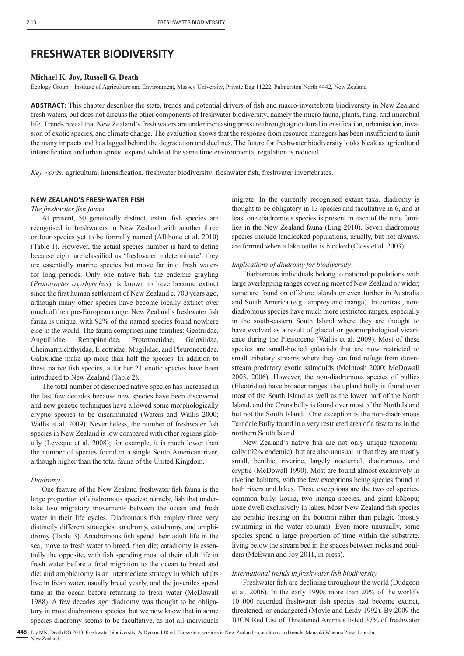# **FRESHWATER BIODIVERSITY**

## **Michael K. Joy, Russell G. Death**

Ecology Group – Institute of Agriculture and Environment, Massey University, Private Bag 11222, Palmerston North 4442, New Zealand

ABSTRACT: This chapter describes the state, trends and potential drivers of fish and macro-invertebrate biodiversity in New Zealand fresh waters, but does not discuss the other components of freshwater biodiversity, namely the micro fauna, plants, fungi and microbial life. Trends reveal that New Zealand's fresh waters are under increasing pressure through agricultural intensification, urbanisation, invasion of exotic species, and climate change. The evaluation shows that the response from resource managers has been insufficient to limit the many impacts and has lagged behind the degradation and declines. The future for freshwater biodiversity looks bleak as agricultural intensification and urban spread expand while at the same time environmental regulation is reduced.

*Key words:* agricultural intensification, freshwater biodiversity, freshwater fish, freshwater invertebrates.

# **NEW ZEALAND'S FRESHWATER FISH**

#### *The freshwater fish fauna*

At present, 50 genetically distinct, extant fish species are recognised in freshwaters in New Zealand with another three or four species yet to be formally named (Allibone et al. 2010) (Table 1). However, the actual species number is hard to define because eight are classified as 'freshwater indeterminate': they are essentially marine species but move far into fresh waters for long periods. Only one native fish, the endemic grayling (*Prototroctes oxyrhynchus*), is known to have become extinct since the first human settlement of New Zealand c. 700 years ago, although many other species have become locally extinct over much of their pre-European range. New Zealand's freshwater fish fauna is unique, with 92% of the named species found nowhere else in the world. The fauna comprises nine families: Geotriidae, Anguillidae, Retropinnidae, Prototroctidae, Galaxiidae, Cheimarrhichthyidae, Eleotridae, Mugilidae, and Pleuronectidae. Galaxiidae make up more than half the species. In addition to these native fish species, a further 21 exotic species have been introduced to New Zealand (Table 2).

The total number of described native species has increased in the last few decades because new species have been discovered and new genetic techniques have allowed some morphologically cryptic species to be discriminated (Waters and Wallis 2000; Wallis et al. 2009). Nevertheless, the number of freshwater fish species in New Zealand is low compared with other regions globally (Leveque et al. 2008); for example, it is much lower than the number of species found in a single South American river, although higher than the total fauna of the United Kingdom.

#### *Diadromy*

One feature of the New Zealand freshwater fish fauna is the large proportion of diadromous species: namely, fish that undertake two migratory movements between the ocean and fresh water in their life cycles. Diadromous fish employ three very distinctly different strategies: anadromy, catadromy, and amphidromy (Table 3). Anadromous fish spend their adult life in the sea, move to fresh water to breed, then die; catadromy is essentially the opposite, with fish spending most of their adult life in fresh water before a final migration to the ocean to breed and die; and amphidromy is an intermediate strategy in which adults live in fresh water, usually breed yearly, and the juveniles spend time in the ocean before returning to fresh water (McDowall 1988). A few decades ago diadromy was thought to be obligatory in most diadromous species, but we now know that in some species diadromy seems to be facultative, as not all individuals

migrate. In the currently recognised extant taxa, diadromy is thought to be obligatory in 13 species and facultative in 6, and at least one diadromous species is present in each of the nine families in the New Zealand fauna (Ling 2010). Seven diadromous species include landlocked populations, usually, but not always, are formed when a lake outlet is blocked (Closs et al. 2003).

#### *Implications of diadromy for biodiversity*

Diadromous individuals belong to national populations with large overlapping ranges covering most of New Zealand or wider; some are found on offshore islands or even further in Australia and South America (e.g. lamprey and inanga). In contrast, nondiadromous species have much more restricted ranges, especially in the south-eastern South Island where they are thought to have evolved as a result of glacial or geomorphological vicariance during the Pleistocene (Wallis et al. 2009). Most of these species are small-bodied galaxiids that are now restricted to small tributary streams where they can find refuge from downstream predatory exotic salmonids (McIntosh 2000; McDowall 2003, 2006). However, the non-diadromous species of bullies (Eleotridae) have broader ranges: the upland bully is found over most of the South Island as well as the lower half of the North Island, and the Crans bully is found over most of the North Island but not the South Island. One exception is the non-diadromous Tarndale Bully found in a very restricted area of a few tarns in the northern South Island

New Zealand's native fish are not only unique taxonomically (92% endemic), but are also unusual in that they are mostly small, benthic, riverine, largely nocturnal, diadromous, and cryptic (McDowall 1990). Most are found almost exclusively in riverine habitats, with the few exceptions being species found in both rivers and lakes. These exceptions are the two eel species, common bully, koura, two inanga species, and giant kōkopu; none dwell exclusively in lakes. Most New Zealand fish species are benthic (resting on the bottom) rather than pelagic (mostly swimming in the water column). Even more unusually, some species spend a large proportion of time within the substrate, living below the stream bed in the spaces between rocks and boulders (McEwan and Joy 2011, in press).

## *International trends in freshwater fish biodiversity*

Freshwater fish are declining throughout the world (Dudgeon et al. 2006). In the early 1990s more than 20% of the world's 10 000 recorded freshwater fish species had become extinct, threatened, or endangered (Moyle and Leidy 1992). By 2009 the IUCN Red List of Threatened Animals listed 37% of freshwater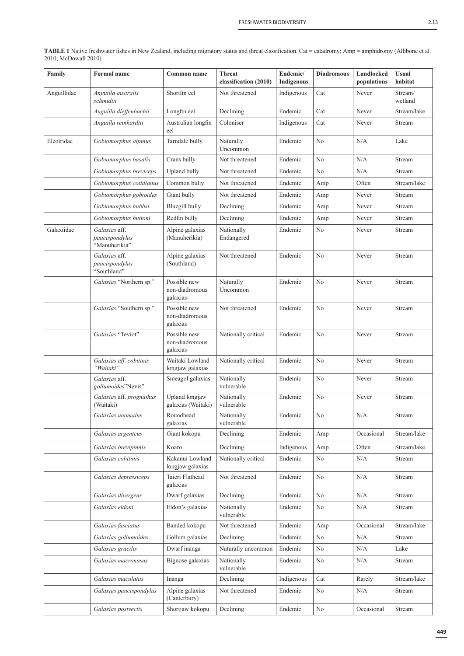| ۰,<br>۰,<br>the contract of the contract of |  |
|---------------------------------------------|--|
|---------------------------------------------|--|

| Family      | <b>Formal</b> name                               | Common name                                | <b>Threat</b><br>classification (2010) | Endemic/<br>Indigenous | <b>Diadromous</b> | Landlocked<br>populations | <b>Usual</b><br>habitat |
|-------------|--------------------------------------------------|--------------------------------------------|----------------------------------------|------------------------|-------------------|---------------------------|-------------------------|
| Anguillidae | Anguilla australis<br>schmidtii                  | Shortfin eel                               | Not threatened                         | Indigenous             | Cat               | Never                     | Stream/<br>wetland      |
|             | Anguilla dieffenbachii                           | Longfin eel                                | Declining                              | Endemic                | Cat               | Never                     | Stream/lake             |
|             | Anguilla reinhardtii                             | Australian longfin<br>eel                  | Coloniser                              | Indigenous             | Cat               | Never                     | Stream                  |
| Eleotridae  | Gobiomorphus alpinus                             | Tarndale bully                             | Naturally<br>Uncommon                  | Endemic                | No                | N/A                       | Lake                    |
|             | Gobiomorphus basalis                             | Crans bully                                | Not threatened                         | Endemic                | N <sub>0</sub>    | N/A                       | Stream                  |
|             | Gobiomorphus breviceps                           | Upland bully                               | Not threatened                         | Endemic                | No                | N/A                       | Stream                  |
|             | Gobiomorphus cotidianus                          | Common bully                               | Not threatened                         | Endemic                | Amp               | Often                     | Stream/lake             |
|             | Gobiomorphus gobioides                           | Giant bully                                | Not threatened                         | Endemic                | Amp               | Never                     | Stream                  |
|             | Gobiomorphus hubbsi                              | Bluegill bully                             | Declining                              | Endemic                | Amp               | Never                     | Stream                  |
|             | Gobiomorphus huttoni                             | Redfin bully                               | Declining                              | Endemic                | Amp               | Never                     | Stream                  |
| Galaxiidae  | Galaxias aff.<br>paucispondylus<br>"Manuherikia" | Alpine galaxias<br>(Manuherikia)           | Nationally<br>Endangered               | Endemic                | No                | Never                     | Stream                  |
|             | Galaxias aff.<br>paucispondylus<br>"Southland"   | Alpine galaxias<br>(Southland)             | Not threatened                         | Endemic                | No                | Never                     | Stream                  |
|             | Galaxias "Northern sp."                          | Possible new<br>non-diadromous<br>galaxias | Naturally<br>Uncommon                  | Endemic                | No                | Never                     | Stream                  |
|             | Galaxias "Southern sp."                          | Possible new<br>non-diadromous<br>galaxias | Not threatened                         | Endemic                | No                | Never                     | Stream                  |
|             | Galaxias "Teviot"                                | Possible new<br>non-diadromous<br>galaxias | Nationally critical                    | Endemic                | No                | Never                     | Stream                  |
|             | Galaxias aff. cobitinis<br>"Waitaki"             | Waitaki Lowland<br>longjaw galaxias        | Nationally critical                    | Endemic                | No                | Never                     | Stream                  |
|             | Galaxias aff.<br>gollumoides"Nevis"              | Smeagol galaxias                           | Nationally<br>vulnerable               | Endemic                | No                | Never                     | Stream                  |
|             | Galaxias aff. prognathus<br>(Waitaki)            | Upland longjaw<br>galaxias (Waitaki)       | Nationally<br>vulnerable               | Endemic                | No                | Never                     | Stream                  |
|             | Galaxias anomalus                                | Roundhead<br>galaxias                      | Nationally<br>vulnerable               | Endemic                | No                | N/A                       | Stream                  |
|             | Galaxias argenteus                               | Giant kokopu                               | Declining                              | Endemic                | Amp               | Occasional                | Stream/lake             |
|             | Galaxias brevipinnis                             | Koaro                                      | Declining                              | Indigenous             | Amp               | Often                     | Stream/lake             |
|             | Galaxias cobitinis                               | Kakanui Lowland<br>longjaw galaxias        | Nationally critical                    | Endemic                | No                | N/A                       | Stream                  |
|             | Galaxias depressiceps                            | Taieri Flathead<br>galaxias                | Not threatened                         | Endemic                | No                | N/A                       | Stream                  |
|             | Galaxias divergens                               | Dwarf galaxias                             | Declining                              | Endemic                | No                | N/A                       | Stream                  |
|             | Galaxias eldoni                                  | Eldon's galaxias                           | Nationally<br>vulnerable               | Endemic                | No                | N/A                       | Stream                  |
|             | Galaxias fasciatus                               | Banded kokopu                              | Not threatened                         | Endemic                | Amp               | Occasional                | Stream/lake             |
|             | Galaxias gollumoides                             | Gollum galaxias                            | Declining                              | Endemic                | No                | N/A                       | Stream                  |
|             | Galaxias gracilis                                | Dwarf inanga                               | Naturally uncommon                     | Endemic                | No                | N/A                       | Lake                    |
|             | Galaxias macronasus                              | Bignose galaxias                           | Nationally<br>vulnerable               | Endemic                | N <sub>0</sub>    | N/A                       | Stream                  |
|             | Galaxias maculatus                               | Inanga                                     | Declining                              | Indigenous             | Cat               | Rarely                    | Stream/lake             |
|             | Galaxias paucispondylus                          | Alpine galaxias<br>(Canterbury)            | Not threatened                         | Endemic                | N <sub>0</sub>    | N/A                       | Stream                  |
|             | Galaxias postvectis                              | Shortjaw kokopu                            | Declining                              | Endemic                | No                | Occasional                | Stream                  |

**TABLE 1** Native freshwater fishes in New Zealand, including migratory status and threat classification. Cat = catadromy; Amp = amphidromy (Allibone et al. 2010; McDowall 2010).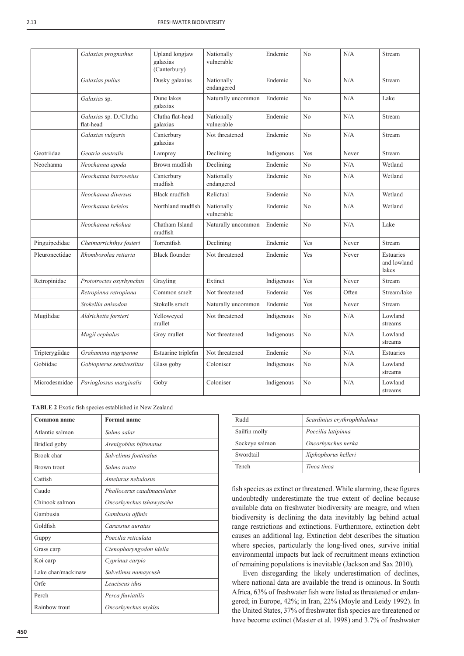|                | Galaxias prognathus                 | Upland longjaw<br>galaxias<br>(Canterbury) | Nationally<br>vulnerable | Endemic    | No             | N/A   | Stream                            |
|----------------|-------------------------------------|--------------------------------------------|--------------------------|------------|----------------|-------|-----------------------------------|
|                | Galaxias pullus                     | Dusky galaxias                             | Nationally<br>endangered | Endemic    | No             | N/A   | Stream                            |
|                | Galaxias sp.                        | Dune lakes<br>galaxias                     | Naturally uncommon       | Endemic    | N <sub>o</sub> | N/A   | Lake                              |
|                | Galaxias sp. D./Clutha<br>flat-head | Clutha flat-head<br>galaxias               | Nationally<br>vulnerable | Endemic    | N <sub>o</sub> | N/A   | Stream                            |
|                | Galaxias vulgaris                   | Canterbury<br>galaxias                     | Not threatened           | Endemic    | N <sub>o</sub> | N/A   | Stream                            |
| Geotriidae     | Geotria australis                   | Lamprey                                    | Declining                | Indigenous | Yes            | Never | Stream                            |
| Neochanna      | Neochanna apoda                     | Brown mudfish                              | Declining                | Endemic    | No             | N/A   | Wetland                           |
|                | Neochanna burrowsius                | Canterbury<br>mudfish                      | Nationally<br>endangered | Endemic    | N <sub>o</sub> | N/A   | Wetland                           |
|                | Neochanna diversus                  | Black mudfish                              | Relictual                | Endemic    | No             | N/A   | Wetland                           |
|                | Neochanna heleios                   | Northland mudfish                          | Nationally<br>vulnerable | Endemic    | N <sub>0</sub> | N/A   | Wetland                           |
|                | Neochanna rekohua                   | Chatham Island<br>mudfish                  | Naturally uncommon       | Endemic    | No             | N/A   | Lake                              |
| Pinguipedidae  | Cheimarrichthys fosteri             | Torrentfish                                | Declining                | Endemic    | Yes            | Never | Stream                            |
| Pleuronectidae | Rhombosolea retiaria                | <b>Black flounder</b>                      | Not threatened           | Endemic    | Yes            | Never | Estuaries<br>and lowland<br>lakes |
| Retropinidae   | Prototroctes oxyrhynchus            | Grayling                                   | Extinct                  | Indigenous | Yes            | Never | Stream                            |
|                | Retropinna retropinna               | Common smelt                               | Not threatened           | Endemic    | Yes            | Often | Stream/lake                       |
|                | Stokellia anisodon                  | Stokells smelt                             | Naturally uncommon       | Endemic    | Yes            | Never | Stream                            |
| Mugilidae      | Aldrichetta forsteri                | Yelloweyed<br>mullet                       | Not threatened           | Indigenous | N <sub>o</sub> | N/A   | Lowland<br>streams                |
|                | Mugil cephalus                      | Grey mullet                                | Not threatened           | Indigenous | N <sub>0</sub> | N/A   | Lowland<br>streams                |
| Tripterygiidae | Grahamina nigripenne                | Estuarine triplefin                        | Not threatened           | Endemic    | N <sub>0</sub> | N/A   | Estuaries                         |
| Gobiidae       | Gobiopterus semivestitus            | Glass goby                                 | Coloniser                | Indigenous | N <sub>0</sub> | N/A   | Lowland<br>streams                |
| Microdesmidae  | Parioglossus marginalis             | Goby                                       | Coloniser                | Indigenous | N <sub>0</sub> | N/A   | Lowland<br>streams                |

**TABLE 2** Exotic fish species established in New Zealand

| Common name        | <b>Formal</b> name         |
|--------------------|----------------------------|
| Atlantic salmon    | Salmo salar                |
| Bridled goby       | Arenigobius bifrenatus     |
| Brook char         | Salvelinus fontinalus      |
| <b>Brown trout</b> | Salmo trutta               |
| Catfish            | Ameiurus nebulosus         |
| Caudo              | Phallocerus caudimaculatus |
| Chinook salmon     | Oncorhynchus tshawytscha   |
| Gambusia           | Gambusia affinis           |
| Goldfish           | Carassius auratus          |
| Guppy              | Poecilia reticulata        |
| Grass carp         | Ctenophoryngodon idella    |
| Koi carp           | Cyprinus carpio            |
| Lake char/mackinaw | Salvelinus namaycush       |
| Orfe               | Leuciscus idus             |
| Perch              | Perca fluviatilis          |
| Rainbow trout      | Oncorhynchus mykiss        |

| Rudd           | Scardinius erythrophthalmus |
|----------------|-----------------------------|
| Sailfin molly  | Poecilia latipinna          |
| Sockeye salmon | Oncorhynchus nerka          |
| Swordtail      | Xiphophorus helleri         |
| Tench          | Tinca tinca                 |

fish species as extinct or threatened. While alarming, these figures undoubtedly underestimate the true extent of decline because available data on freshwater biodiversity are meagre, and when biodiversity is declining the data inevitably lag behind actual range restrictions and extinctions. Furthermore, extinction debt causes an additional lag. Extinction debt describes the situation where species, particularly the long-lived ones, survive initial environmental impacts but lack of recruitment means extinction of remaining populations is inevitable (Jackson and Sax 2010).

Even disregarding the likely underestimation of declines, where national data are available the trend is ominous. In South Africa, 63% of freshwater fish were listed as threatened or endangered; in Europe, 42%; in Iran, 22% (Moyle and Leidy 1992). In the United States, 37% of freshwater fish species are threatened or have become extinct (Master et al. 1998) and 3.7% of freshwater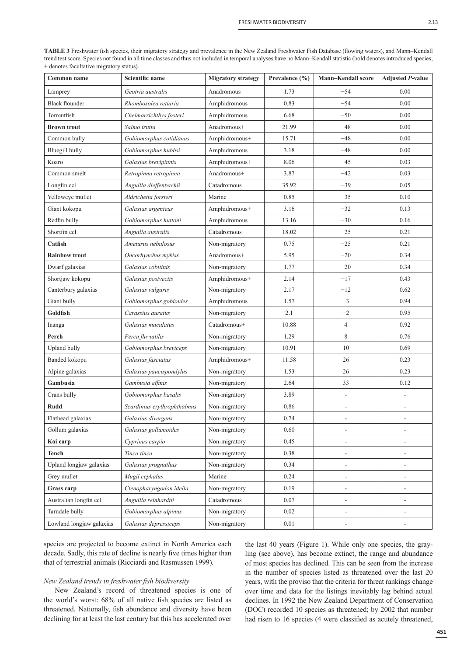TABLE 3 Freshwater fish species, their migratory strategy and prevalence in the New Zealand Freshwater Fish Database (flowing waters), and Mann–Kendall trend test score. Species not found in all time classes and thus not included in temporal analyses have no Mann–Kendall statistic (bold denotes introduced species; + denotes facultative migratory status).

| Common name              | Scientific name             | <b>Migratory strategy</b> | Prevalence (%) | <b>Mann-Kendall score</b> | <b>Adjusted P-value</b>  |
|--------------------------|-----------------------------|---------------------------|----------------|---------------------------|--------------------------|
| Lamprey                  | Geotria australis           | Anadromous                | 1.73           | $-54$                     | 0.00                     |
| <b>Black flounder</b>    | Rhombosolea retiaria        | Amphidromous              | 0.83           | $-54$                     | 0.00                     |
| Torrentfish              | Cheimarrichthys fosteri     | Amphidromous              | 6.68           | $-50$                     | 0.00                     |
| <b>Brown trout</b>       | Salmo trutta                | Anadromous+               | 21.99          | $-48$                     | 0.00                     |
| Common bully             | Gobiomorphus cotidianus     | Amphidromous+             | 15.71          | $-48$                     | 0.00                     |
| <b>Bluegill bully</b>    | Gobiomorphus hubbsi         | Amphidromous              | 3.18           | $-48$                     | 0.00                     |
| Koaro                    | Galaxias brevipinnis        | Amphidromous+             | 8.06           | $-45$                     | 0.03                     |
| Common smelt             | Retropinna retropinna       | Anadromous+               | 3.87           | $-42$                     | 0.03                     |
| Longfin eel              | Anguilla dieffenbachii      | Catadromous               | 35.92          | $-39$                     | 0.05                     |
| Yelloweye mullet         | Aldrichetta forsteri        | Marine                    | 0.85           | $-35$                     | 0.10                     |
| Giant kokopu             | Galaxias argenteus          | Amphidromous+             | 3.16           | $-32$                     | 0.13                     |
| Redfin bully             | Gobiomorphus huttoni        | Amphidromous              | 13.16          | $-30$                     | 0.16                     |
| Shortfin eel             | Anguilla australis          | Catadromous               | 18.02          | $-25$                     | 0.21                     |
| Catfish                  | Ameiurus nebulosus          | Non-migratory             | 0.75           | $-25$                     | 0.21                     |
| <b>Rainbow trout</b>     | Oncorhynchus mykiss         | Anadromous+               | 5.95           | $-20$                     | 0.34                     |
| Dwarf galaxias           | Galaxias cobitinis          | Non-migratory             | 1.77           | $-20$                     | 0.34                     |
| Shortjaw kokopu          | Galaxias postvectis         | Amphidromous+             | 2.14           | $-17$                     | 0.43                     |
| Canterbury galaxias      | Galaxias vulgaris           | Non-migratory             | 2.17           | $-12$                     | 0.62                     |
| Giant bully              | Gobiomorphus gobioides      | Amphidromous              | 1.57           | $-3$                      | 0.94                     |
| Goldfish                 | Carassius auratus           | Non-migratory             | 2.1            | $-2$                      | 0.95                     |
| Inanga                   | Galaxias maculatus          | Catadromous+              | 10.88          | $\overline{4}$            | 0.92                     |
| Perch                    | Perca fluviatilis           | Non-migratory             | 1.29           | 8                         | 0.76                     |
| <b>Upland bully</b>      | Gobiomorphus breviceps      | Non-migratory             | 10.91          | 10                        | 0.69                     |
| Banded kokopu            | Galaxias fasciatus          | Amphidromous+             | 11.58          | 26                        | 0.23                     |
| Alpine galaxias          | Galaxias paucispondylus     | Non-migratory             | 1.53           | 26                        | 0.23                     |
| Gambusia                 | Gambusia affinis            | Non-migratory             | 2.64           | 33                        | 0.12                     |
| Crans bully              | Gobiomorphus basalis        | Non-migratory             | 3.89           | $\overline{\phantom{a}}$  |                          |
| <b>Rudd</b>              | Scardinius erythrophthalmus | Non-migratory             | 0.86           | L,                        |                          |
| Flathead galaxias        | Galaxias divergens          | Non-migratory             | 0.74           | $\overline{\phantom{a}}$  |                          |
| Gollum galaxias          | Galaxias gollumoides        | Non-migratory             | 0.60           | $\overline{\phantom{a}}$  | $\overline{\phantom{m}}$ |
| Koi carp                 | Cyprinus carpio             | Non-migratory             | 0.45           | $\overline{a}$            |                          |
| <b>Tench</b>             | Tinca tinca                 | Non-migratory             | 0.38           | $\overline{\phantom{a}}$  | ÷                        |
| Upland longjaw galaxias  | Galaxias prognathus         | Non-migratory             | 0.34           | $\overline{\phantom{a}}$  | $\overline{a}$           |
| Grey mullet              | Mugil cephalus              | Marine                    | 0.24           | $\overline{\phantom{a}}$  |                          |
| Grass carp               | Ctenopharyngodon idella     | Non-migratory             | 0.19           | $\overline{\phantom{a}}$  | -                        |
| Australian longfin eel   | Anguilla reinhardtii        | Catadromous               | 0.07           | $\overline{\phantom{a}}$  | -                        |
| Tarndale bully           | Gobiomorphus alpinus        | Non-migratory             | 0.02           | $\overline{a}$            | $\overline{a}$           |
| Lowland longjaw galaxias | Galaxias depressiceps       | Non-migratory             | 0.01           |                           |                          |

species are projected to become extinct in North America each decade. Sadly, this rate of decline is nearly five times higher than that of terrestrial animals (Ricciardi and Rasmussen 1999).

## *New Zealand trends in freshwater fish biodiversity*

New Zealand's record of threatened species is one of the world's worst: 68% of all native fish species are listed as threatened. Nationally, fish abundance and diversity have been declining for at least the last century but this has accelerated over

the last 40 years (Figure 1). While only one species, the grayling (see above), has become extinct, the range and abundance of most species has declined. This can be seen from the increase in the number of species listed as threatened over the last 20 years, with the proviso that the criteria for threat rankings change over time and data for the listings inevitably lag behind actual declines. In 1992 the New Zealand Department of Conservation (DOC) recorded 10 species as threatened; by 2002 that number had risen to 16 species (4 were classified as acutely threatened,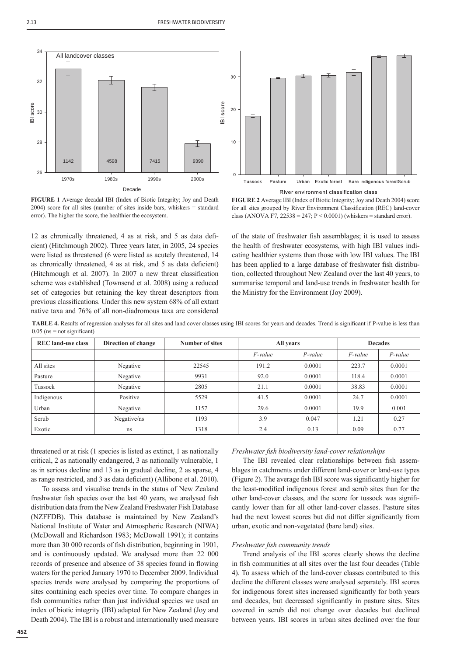



**FIGURE 1** Average decadal IBI (Index of Biotic Integrity; Joy and Death 2004) score for all sites (number of sites inside bars, whiskers = standard error). The higher the score, the healthier the ecosystem.

12 as chronically threatened, 4 as at risk, and 5 as data deficient) (Hitchmough 2002). Three years later, in 2005, 24 species were listed as threatened (6 were listed as acutely threatened, 14 as chronically threatened, 4 as at risk, and 5 as data deficient) (Hitchmough et al. 2007). In 2007 a new threat classification scheme was established (Townsend et al. 2008) using a reduced set of categories but retaining the key threat descriptors from previous classifications. Under this new system 68% of all extant native taxa and 76% of all non-diadromous taxa are considered



of the state of freshwater fish assemblages; it is used to assess the health of freshwater ecosystems, with high IBI values indicating healthier systems than those with low IBI values. The IBI has been applied to a large database of freshwater fish distribution, collected throughout New Zealand over the last 40 years, to summarise temporal and land-use trends in freshwater health for the Ministry for the Environment (Joy 2009).

TABLE 4. Results of regression analyses for all sites and land cover classes using IBI scores for years and decades. Trend is significant if P-value is less than  $0.05$  (ns = not significant)

| <b>REC</b> land-use class | Direction of change | Number of sites | All years  |            | <b>Decades</b> |           |
|---------------------------|---------------------|-----------------|------------|------------|----------------|-----------|
|                           |                     |                 | $F$ -value | $P$ -value | <i>F-value</i> | $P-value$ |
| All sites                 | Negative            | 22545           | 191.2      | 0.0001     | 223.7          | 0.0001    |
| Pasture                   | Negative            | 9931            | 92.0       | 0.0001     | 118.4          | 0.0001    |
| Tussock                   | Negative            | 2805            | 21.1       | 0.0001     | 38.83          | 0.0001    |
| Indigenous                | Positive            | 5529            | 41.5       | 0.0001     | 24.7           | 0.0001    |
| Urban                     | Negative            | 1157            | 29.6       | 0.0001     | 19.9           | 0.001     |
| Scrub                     | Negative/ns         | 1193            | 3.9        | 0.047      | 1.21           | 0.27      |
| Exotic                    | ns                  | 1318            | 2.4        | 0.13       | 0.09           | 0.77      |

threatened or at risk (1 species is listed as extinct, 1 as nationally critical, 2 as nationally endangered, 3 as nationally vulnerable, 1 as in serious decline and 13 as in gradual decline, 2 as sparse, 4 as range restricted, and 3 as data deficient) (Allibone et al. 2010).

To assess and visualise trends in the status of New Zealand freshwater fish species over the last 40 years, we analysed fish distribution data from the New Zealand Freshwater Fish Database (NZFFDB). This database is maintained by New Zealand's National Institute of Water and Atmospheric Research (NIWA) (McDowall and Richardson 1983; McDowall 1991); it contains more than 30 000 records of fish distribution, beginning in 1901, and is continuously updated. We analysed more than 22 000 records of presence and absence of 38 species found in flowing waters for the period January 1970 to December 2009. Individual species trends were analysed by comparing the proportions of sites containing each species over time. To compare changes in fish communities rather than just individual species we used an index of biotic integrity (IBI) adapted for New Zealand (Joy and Death 2004). The IBI is a robust and internationally used measure

## *Freshwater fi sh biodiversity land-cover relationships*

The IBI revealed clear relationships between fish assemblages in catchments under different land-cover or land-use types (Figure 2). The average fish IBI score was significantly higher for the least-modified indigenous forest and scrub sites than for the other land-cover classes, and the score for tussock was significantly lower than for all other land-cover classes. Pasture sites had the next lowest scores but did not differ significantly from urban, exotic and non-vegetated (bare land) sites.

## *Freshwater fish community trends*

Trend analysis of the IBI scores clearly shows the decline in fish communities at all sites over the last four decades (Table 4). To assess which of the land-cover classes contributed to this decline the different classes were analysed separately. IBI scores for indigenous forest sites increased significantly for both years and decades, but decreased significantly in pasture sites. Sites covered in scrub did not change over decades but declined between years. IBI scores in urban sites declined over the four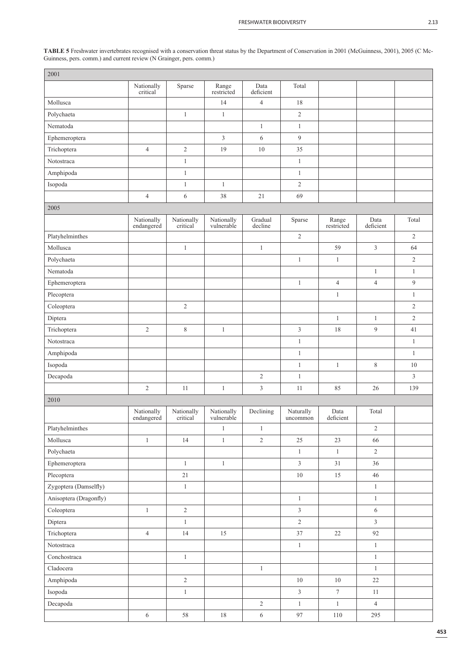**TABLE 5** Freshwater invertebrates recognised with a conservation threat status by the Department of Conservation in 2001 (McGuinness, 2001), 2005 (C Mc-Guinness, pers. comm.) and current review (N Grainger, pers. comm.)

| 2001                   |                          |                        |                          |                    |                       |                     |                   |                |
|------------------------|--------------------------|------------------------|--------------------------|--------------------|-----------------------|---------------------|-------------------|----------------|
|                        | Nationally<br>critical   | Sparse                 | Range<br>restricted      | Data<br>deficient  | Total                 |                     |                   |                |
| Mollusca               |                          |                        | 14                       | $\overline{4}$     | 18                    |                     |                   |                |
| Polychaeta             |                          | $\mathbf{1}$           | $\mathbf{1}$             |                    | $\sqrt{2}$            |                     |                   |                |
| Nematoda               |                          |                        |                          | $\mathbf{1}$       | $\mathbf{1}$          |                     |                   |                |
| Ephemeroptera          |                          |                        | $\mathfrak{Z}$           | 6                  | $\overline{9}$        |                     |                   |                |
| Trichoptera            | $\overline{4}$           | $\overline{2}$         | 19                       | 10                 | 35                    |                     |                   |                |
| Notostraca             |                          | $\mathbf{1}$           |                          |                    | $\mathbf{1}$          |                     |                   |                |
| Amphipoda              |                          | $\mathbf{1}$           |                          |                    | $\mathbf{1}$          |                     |                   |                |
| Isopoda                |                          | $\mathbf{1}$           | $\mathbf{1}$             |                    | $\sqrt{2}$            |                     |                   |                |
|                        | $\overline{4}$           | $\sqrt{6}$             | 38                       | 21                 | 69                    |                     |                   |                |
| 2005                   |                          |                        |                          |                    |                       |                     |                   |                |
|                        | Nationally<br>endangered | Nationally<br>critical | Nationally<br>vulnerable | Gradual<br>decline | Sparse                | Range<br>restricted | Data<br>deficient | Total          |
| Platyhelminthes        |                          |                        |                          |                    | $\sqrt{2}$            |                     |                   | $\sqrt{2}$     |
| Mollusca               |                          | $\mathbf{1}$           |                          | $\mathbf{1}$       |                       | 59                  | 3                 | 64             |
| Polychaeta             |                          |                        |                          |                    | $\mathbf{1}$          | $\mathbf{1}$        |                   | $\sqrt{2}$     |
| Nematoda               |                          |                        |                          |                    |                       |                     | $\mathbf{1}$      | $\mathbf{1}$   |
| Ephemeroptera          |                          |                        |                          |                    | $\mathbf{1}$          | $\overline{4}$      | $\overline{4}$    | $\overline{9}$ |
| Plecoptera             |                          |                        |                          |                    |                       | $\mathbf{1}$        |                   | $\mathbf{1}$   |
| Coleoptera             |                          | $\sqrt{2}$             |                          |                    |                       |                     |                   | $\sqrt{2}$     |
| Diptera                |                          |                        |                          |                    |                       | $\mathbf{1}$        | $\mathbf{1}$      | $\sqrt{2}$     |
| Trichoptera            | $\sqrt{2}$               | $\,$ $\,$              | $\mathbf{1}$             |                    | $\mathfrak{Z}$        | 18                  | 9                 | 41             |
| Notostraca             |                          |                        |                          |                    | $\mathbf{1}$          |                     |                   | $\mathbf{1}$   |
| Amphipoda              |                          |                        |                          |                    | $\mathbf{1}$          |                     |                   | $\mathbf{1}$   |
| Isopoda                |                          |                        |                          |                    | $\mathbf{1}$          | $\mathbf{1}$        | 8                 | $10\,$         |
| Decapoda               |                          |                        |                          | $\sqrt{2}$         | $\mathbf{1}$          |                     |                   | $\mathfrak{Z}$ |
|                        | $\sqrt{2}$               | 11                     | $\mathbf{1}$             | $\mathfrak{Z}$     | 11                    | 85                  | 26                | 139            |
| 2010                   |                          |                        |                          |                    |                       |                     |                   |                |
|                        | Nationally<br>endangered | Nationally<br>critical | Nationally<br>vulnerable | Declining          | Naturally<br>uncommon | Data<br>deficient   | Total             |                |
| Platyhelminthes        |                          |                        | $\,1\,$                  | $\mathbf{1}$       |                       |                     | $\sqrt{2}$        |                |
| Mollusca               | $\,1$                    | 14                     | $\,1\,$                  | $\sqrt{2}$         | $25\,$                | 23                  | 66                |                |
| Polychaeta             |                          |                        |                          |                    | $\,1$                 | $\,1\,$             | $2\,$             |                |
| Ephemeroptera          |                          | $\,1$                  | $\mathbf{1}$             |                    | $\overline{3}$        | $31\,$              | 36                |                |
| Plecoptera             |                          | $21\,$                 |                          |                    | $10\,$                | $15\,$              | $46\,$            |                |
| Zygoptera (Damselfly)  |                          | $\,1$                  |                          |                    |                       |                     | $\,1$             |                |
| Anisoptera (Dragonfly) |                          |                        |                          |                    | $\,1$                 |                     | $\,1$             |                |
| Coleoptera             | $\,1$                    | $\overline{c}$         |                          |                    | $\overline{3}$        |                     | 6                 |                |
| Diptera                |                          | $\mathbf{1}$           |                          |                    | $\sqrt{2}$            |                     | $\overline{3}$    |                |
| Trichoptera            | $\overline{4}$           | 14                     | 15                       |                    | 37                    | $22\,$              | 92                |                |
| Notostraca             |                          |                        |                          |                    | $\,1$                 |                     | $\,1$             |                |
| Conchostraca           |                          | $\,1$                  |                          |                    |                       |                     | $\,1$             |                |
| Cladocera              |                          |                        |                          | $\,1\,$            |                       |                     | $\mathbf{1}$      |                |
| Amphipoda              |                          | $\sqrt{2}$             |                          |                    | $10\,$                | $10\,$              | $22\,$            |                |
| Isopoda                |                          | $\,1$                  |                          |                    | $\mathfrak{Z}$        | $\boldsymbol{7}$    | $11\,$            |                |
| Decapoda               |                          |                        |                          | $\sqrt{2}$         | $\mathbf{1}$          | $\mathbf{1}$        | $\overline{4}$    |                |
|                        | $\sqrt{6}$               | $58\,$                 | $18\,$                   | $\sqrt{6}$         | $\ensuremath{97}$     | $110\,$             | 295               |                |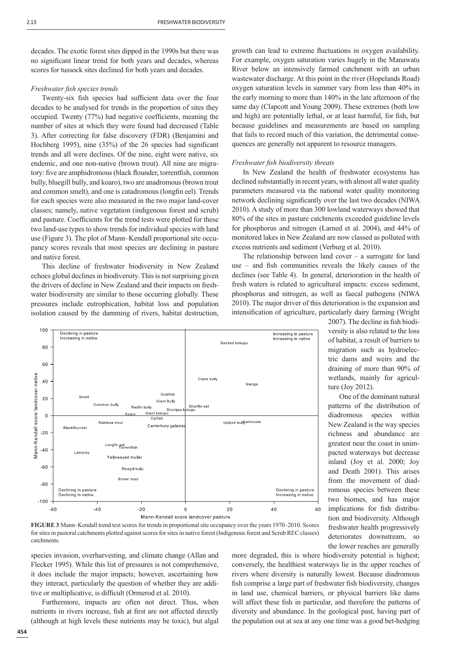decades. The exotic forest sites dipped in the 1990s but there was no significant linear trend for both years and decades, whereas scores for tussock sites declined for both years and decades.

## *Freshwater fish species trends*

Twenty-six fish species had sufficient data over the four decades to be analysed for trends in the proportion of sites they occupied. Twenty (77%) had negative coefficients, meaning the number of sites at which they were found had decreased (Table 3). After correcting for false discovery (FDR) (Benjamini and Hochberg 1995), nine  $(35%)$  of the 26 species had significant trends and all were declines. Of the nine, eight were native, six endemic, and one non-native (brown trout). All nine are migratory: five are amphidromous (black flounder, torrentfish, common bully, bluegill bully, and koaro), two are anadromous (brown trout and common smelt), and one is catadromous (longfin eel). Trends for each species were also measured in the two major land-cover classes; namely, native vegetation (indigenous forest and scrub) and pasture. Coefficients for the trend tests were plotted for these two land-use types to show trends for individual species with land use (Figure 3). The plot of Mann–Kendall proportional site occupancy scores reveals that most species are declining in pasture and native forest.

This decline of freshwater biodiversity in New Zealand echoes global declines in biodiversity. This is not surprising given the drivers of decline in New Zealand and their impacts on freshwater biodiversity are similar to those occurring globally. These pressures include eutrophication, habitat loss and population isolation caused by the damming of rivers, habitat destruction,

growth can lead to extreme fluctuations in oxygen availability. For example, oxygen saturation varies hugely in the Manawatu River below an intensively farmed catchment with an urban wastewater discharge. At this point in the river (Hopelands Road) oxygen saturation levels in summer vary from less than 40% in the early morning to more than 140% in the late afternoon of the same day (Clapcott and Young 2009). These extremes (both low and high) are potentially lethal, or at least harmful, for fish, but because guidelines and measurements are based on sampling that fails to record much of this variation, the detrimental consequences are generally not apparent to resource managers.

## *Freshwater fish biodiversity threats*

In New Zealand the health of freshwater ecosystems has declined substantially in recent years, with almost all water quality parameters measured via the national water quality monitoring network declining significantly over the last two decades (NIWA) 2010). A study of more than 300 lowland waterways showed that 80% of the sites in pasture catchments exceeded guideline levels for phosphorus and nitrogen (Larned et al. 2004), and 44% of monitored lakes in New Zealand are now classed as polluted with excess nutrients and sediment (Verburg et al. 2010).

The relationship between land cover  $-$  a surrogate for land use – and fish communities reveals the likely causes of the declines (see Table 4). In general, deterioration in the health of fresh waters is related to agricultural impacts: excess sediment, phosphorus and nitrogen, as well as faecal pathogens (NIWA 2010). The major driver of this deterioration is the expansion and intensification of agriculture, particularly dairy farming (Wright

> 2007). The decline in fish biodiversity is also related to the loss of habitat, a result of barriers to migration such as hydroelectric dams and weirs and the draining of more than 90% of wetlands, mainly for agricul-

> One of the dominant natural patterns of the distribution of diadromous species within New Zealand is the way species richness and abundance are greatest near the coast in unimpacted waterways but decrease inland (Joy et al. 2000; Joy and Death 2001). This arises from the movement of diadromous species between these two biomes, and has major implications for fish distribution and biodiversity. Although freshwater health progressively deteriorates downstream, so the lower reaches are generally

ture (Joy 2012).



**FIGURE 3** Mann–Kendall trend test scores for trends in proportional site occupancy over the years 1970–2010. Scores for sites in pastoral catchments plotted against scores for sites in native forest (Indigenous forest and Scrub REC classes) catchments.

species invasion, overharvesting, and climate change (Allan and Flecker 1995). While this list of pressures is not comprehensive, it does include the major impacts; however, ascertaining how they interact, particularly the question of whether they are additive or multiplicative, is difficult (Ormerod et al. 2010).

Furthermore, impacts are often not direct. Thus, when nutrients in rivers increase, fish at first are not affected directly (although at high levels these nutrients may be toxic), but algal more degraded, this is where biodiversity potential is highest; conversely, the healthiest waterways lie in the upper reaches of rivers where diversity is naturally lowest. Because diadromous fish comprise a large part of freshwater fish biodiversity, changes in land use, chemical barriers, or physical barriers like dams will affect these fish in particular, and therefore the patterns of diversity and abundance. In the geological past, having part of the population out at sea at any one time was a good bet-hedging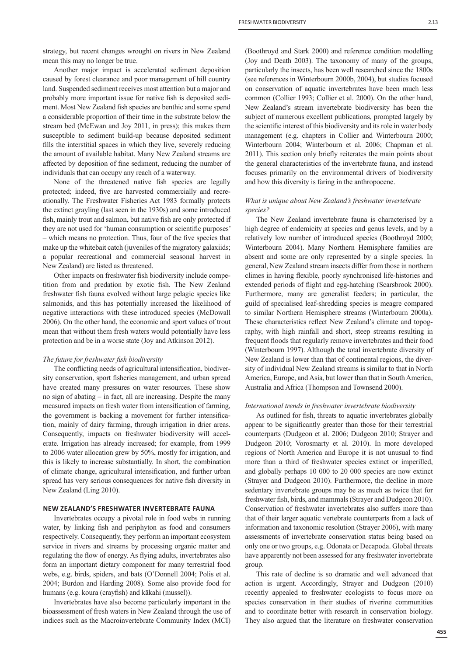strategy, but recent changes wrought on rivers in New Zealand mean this may no longer be true.

Another major impact is accelerated sediment deposition caused by forest clearance and poor management of hill country land. Suspended sediment receives most attention but a major and probably more important issue for native fish is deposited sediment. Most New Zealand fish species are benthic and some spend a considerable proportion of their time in the substrate below the stream bed (McEwan and Joy 2011, in press); this makes them susceptible to sediment build-up because deposited sediment fills the interstitial spaces in which they live, severely reducing the amount of available habitat. Many New Zealand streams are affected by deposition of fine sediment, reducing the number of individuals that can occupy any reach of a waterway.

None of the threatened native fish species are legally protected; indeed, five are harvested commercially and recreationally. The Freshwater Fisheries Act 1983 formally protects the extinct grayling (last seen in the 1930s) and some introduced fish, mainly trout and salmon, but native fish are only protected if they are not used for 'human consumption or scientific purposes'  $-$  which means no protection. Thus, four of the five species that make up the whitebait catch (juveniles of the migratory galaxiids; a popular recreational and commercial seasonal harvest in New Zealand) are listed as threatened.

Other impacts on freshwater fish biodiversity include competition from and predation by exotic fish. The New Zealand freshwater fish fauna evolved without large pelagic species like salmonids, and this has potentially increased the likelihood of negative interactions with these introduced species (McDowall 2006). On the other hand, the economic and sport values of trout mean that without them fresh waters would potentially have less protection and be in a worse state (Joy and Atkinson 2012).

#### The future for freshwater fish biodiversity

The conflicting needs of agricultural intensification, biodiversity conservation, sport fisheries management, and urban spread have created many pressures on water resources. These show no sign of abating – in fact, all are increasing. Despite the many measured impacts on fresh water from intensification of farming, the government is backing a movement for further intensification, mainly of dairy farming, through irrigation in drier areas. Consequently, impacts on freshwater biodiversity will accelerate. Irrigation has already increased; for example, from 1999 to 2006 water allocation grew by 50%, mostly for irrigation, and this is likely to increase substantially. In short, the combination of climate change, agricultural intensification, and further urban spread has very serious consequences for native fish diversity in New Zealand (Ling 2010).

## **NEW ZEALAND'S FRESHWATER INVERTEBRATE FAUNA**

Invertebrates occupy a pivotal role in food webs in running water, by linking fish and periphyton as food and consumers respectively. Consequently, they perform an important ecosystem service in rivers and streams by processing organic matter and regulating the flow of energy. As flying adults, invertebrates also form an important dietary component for many terrestrial food webs, e.g. birds, spiders, and bats (O'Donnell 2004; Polis et al. 2004; Burdon and Harding 2008). Some also provide food for humans (e.g. koura (crayfish) and kākahi (mussel)).

Invertebrates have also become particularly important in the bioassessment of fresh waters in New Zealand through the use of indices such as the Macroinvertebrate Community Index (MCI)

(Boothroyd and Stark 2000) and reference condition modelling (Joy and Death 2003). The taxonomy of many of the groups, particularly the insects, has been well researched since the 1800s (see references in Winterbourn 2000b, 2004), but studies focused on conservation of aquatic invertebrates have been much less common (Collier 1993; Collier et al. 2000). On the other hand, New Zealand's stream invertebrate biodiversity has been the subject of numerous excellent publications, prompted largely by the scientific interest of this biodiversity and its role in water body management (e.g. chapters in Collier and Winterbourn 2000; Winterbourn 2004; Winterbourn et al. 2006; Chapman et al. 2011). This section only briefly reiterates the main points about the general characteristics of the invertebrate fauna, and instead focuses primarily on the environmental drivers of biodiversity and how this diversity is faring in the anthropocene.

## *What is unique about New Zealand's freshwater invertebrate species?*

The New Zealand invertebrate fauna is characterised by a high degree of endemicity at species and genus levels, and by a relatively low number of introduced species (Boothroyd 2000; Winterbourn 2004). Many Northern Hemisphere families are absent and some are only represented by a single species. In general, New Zealand stream insects differ from those in northern climes in having flexible, poorly synchronised life-histories and extended periods of flight and egg-hatching (Scarsbrook 2000). Furthermore, many are generalist feeders; in particular, the guild of specialised leaf-shredding species is meagre compared to similar Northern Hemisphere streams (Winterbourn 2000a). These characteristics reflect New Zealand's climate and topography, with high rainfall and short, steep streams resulting in frequent floods that regularly remove invertebrates and their food (Winterbourn 1997). Although the total invertebrate diversity of New Zealand is lower than that of continental regions, the diversity of individual New Zealand streams is similar to that in North America, Europe, and Asia, but lower than that in South America, Australia and Africa (Thompson and Townsend 2000).

#### *International trends in freshwater invertebrate biodiversity*

As outlined for fish, threats to aquatic invertebrates globally appear to be significantly greater than those for their terrestrial counterparts (Dudgeon et al. 2006; Dudgeon 2010; Strayer and Dudgeon 2010; Vorosmarty et al. 2010). In more developed regions of North America and Europe it is not unusual to find more than a third of freshwater species extinct or imperilled, and globally perhaps 10 000 to 20 000 species are now extinct (Strayer and Dudgeon 2010). Furthermore, the decline in more sedentary invertebrate groups may be as much as twice that for freshwater fish, birds, and mammals (Strayer and Dudgeon 2010). Conservation of freshwater invertebrates also suffers more than that of their larger aquatic vertebrate counterparts from a lack of information and taxonomic resolution (Strayer 2006), with many assessments of invertebrate conservation status being based on only one or two groups, e.g. Odonata or Decapoda. Global threats have apparently not been assessed for any freshwater invertebrate group.

This rate of decline is so dramatic and well advanced that action is urgent. Accordingly, Strayer and Dudgeon (2010) recently appealed to freshwater ecologists to focus more on species conservation in their studies of riverine communities and to coordinate better with research in conservation biology. They also argued that the literature on freshwater conservation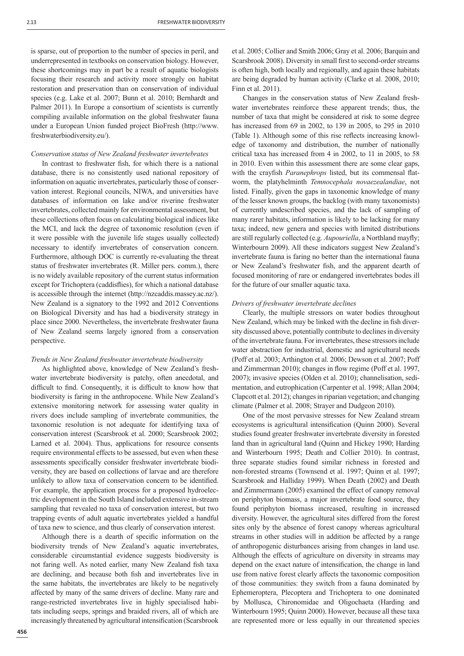is sparse, out of proportion to the number of species in peril, and underrepresented in textbooks on conservation biology. However, these shortcomings may in part be a result of aquatic biologists focusing their research and activity more strongly on habitat restoration and preservation than on conservation of individual species (e.g. Lake et al. 2007; Bunn et al. 2010; Bernhardt and Palmer 2011). In Europe a consortium of scientists is currently compiling available information on the global freshwater fauna under a European Union funded project BioFresh (http://www. freshwaterbiodiversity.eu/).

#### *Conservation status of New Zealand freshwater invertebrates*

In contrast to freshwater fish, for which there is a national database, there is no consistently used national repository of information on aquatic invertebrates, particularly those of conservation interest. Regional councils, NIWA, and universities have databases of information on lake and/or riverine freshwater invertebrates, collected mainly for environmental assessment, but these collections often focus on calculating biological indices like the MCI, and lack the degree of taxonomic resolution (even if it were possible with the juvenile life stages usually collected) necessary to identify invertebrates of conservation concern. Furthermore, although DOC is currently re-evaluating the threat status of freshwater invertebrates (R. Miller pers. comm.), there is no widely available repository of the current status information except for Trichoptera (caddisflies), for which a national database is accessible through the internet (http://nzcaddis.massey.ac.nz/). New Zealand is a signatory to the 1992 and 2012 Conventions on Biological Diversity and has had a biodiversity strategy in place since 2000. Nevertheless, the invertebrate freshwater fauna of New Zealand seems largely ignored from a conservation perspective.

## *Trends in New Zealand freshwater invertebrate biodiversity*

As highlighted above, knowledge of New Zealand's freshwater invertebrate biodiversity is patchy, often anecdotal, and difficult to find. Consequently, it is difficult to know how that biodiversity is faring in the anthropocene. While New Zealand's extensive monitoring network for assessing water quality in rivers does include sampling of invertebrate communities, the taxonomic resolution is not adequate for identifying taxa of conservation interest (Scarsbrook et al. 2000; Scarsbrook 2002; Larned et al. 2004). Thus, applications for resource consents require environmental effects to be assessed, but even when these assessments specifically consider freshwater invertebrate biodiversity, they are based on collections of larvae and are therefore unlikely to allow taxa of conservation concern to be identified. For example, the application process for a proposed hydroelectric development in the South Island included extensive in-stream sampling that revealed no taxa of conservation interest, but two trapping events of adult aquatic invertebrates yielded a handful of taxa new to science, and thus clearly of conservation interest.

Although there is a dearth of specific information on the biodiversity trends of New Zealand's aquatic invertebrates, considerable circumstantial evidence suggests biodiversity is not faring well. As noted earlier, many New Zealand fish taxa are declining, and because both fish and invertebrates live in the same habitats, the invertebrates are likely to be negatively affected by many of the same drivers of decline. Many rare and range-restricted invertebrates live in highly specialised habitats including seeps, springs and braided rivers, all of which are increasingly threatened by agricultural intensification (Scarsbrook et al. 2005; Collier and Smith 2006; Gray et al. 2006; Barquin and Scarsbrook 2008). Diversity in small first to second-order streams is often high, both locally and regionally, and again these habitats are being degraded by human activity (Clarke et al. 2008, 2010; Finn et al. 2011).

Changes in the conservation status of New Zealand freshwater invertebrates reinforce these apparent trends; thus, the number of taxa that might be considered at risk to some degree has increased from 69 in 2002, to 139 in 2005, to 295 in 2010 (Table 1). Although some of this rise reflects increasing knowledge of taxonomy and distribution, the number of nationally critical taxa has increased from 4 in 2002, to 11 in 2005, to 58 in 2010. Even within this assessment there are some clear gaps, with the crayfish *Paranephrops* listed, but its commensal flatworm, the platyhelminth *Temnocephala novaezealandiae*, not listed. Finally, given the gaps in taxonomic knowledge of many of the lesser known groups, the backlog (with many taxonomists) of currently undescribed species, and the lack of sampling of many rarer habitats, information is likely to be lacking for many taxa; indeed, new genera and species with limited distributions are still regularly collected (e.g. *Aupouriella*, a Northland mayfly; Winterbourn 2009). All these indicators suggest New Zealand's invertebrate fauna is faring no better than the international fauna or New Zealand's freshwater fish, and the apparent dearth of focused monitoring of rare or endangered invertebrates bodes ill for the future of our smaller aquatic taxa.

## *Drivers of freshwater invertebrate declines*

Clearly, the multiple stressors on water bodies throughout New Zealand, which may be linked with the decline in fish diversity discussed above, potentially contribute to declines in diversity of the invertebrate fauna. For invertebrates, these stressors include water abstraction for industrial, domestic and agricultural needs (Poff et al. 2003; Arthington et al. 2006; Dewson et al. 2007; Poff and Zimmerman 2010); changes in flow regime (Poff et al. 1997, 2007); invasive species (Olden et al. 2010); channelisation, sedimentation, and eutrophication (Carpenter et al. 1998; Allan 2004; Clapcott et al. 2012); changes in riparian vegetation; and changing climate (Palmer et al. 2008; Strayer and Dudgeon 2010).

One of the most pervasive stresses for New Zealand stream ecosystems is agricultural intensification (Ouinn 2000). Several studies found greater freshwater invertebrate diversity in forested land than in agricultural land (Quinn and Hickey 1990; Harding and Winterbourn 1995; Death and Collier 2010). In contrast, three separate studies found similar richness in forested and non-forested streams (Townsend et al. 1997; Quinn et al. 1997; Scarsbrook and Halliday 1999). When Death (2002) and Death and Zimmermann (2005) examined the effect of canopy removal on periphyton biomass, a major invertebrate food source, they found periphyton biomass increased, resulting in increased diversity. However, the agricultural sites differed from the forest sites only by the absence of forest canopy whereas agricultural streams in other studies will in addition be affected by a range of anthropogenic disturbances arising from changes in land use. Although the effects of agriculture on diversity in streams may depend on the exact nature of intensification, the change in land use from native forest clearly affects the taxonomic composition of those communities: they switch from a fauna dominated by Ephemeroptera, Plecoptera and Trichoptera to one dominated by Mollusca, Chironomidae and Oligochaeta (Harding and Winterbourn 1995; Quinn 2000). However, because all these taxa are represented more or less equally in our threatened species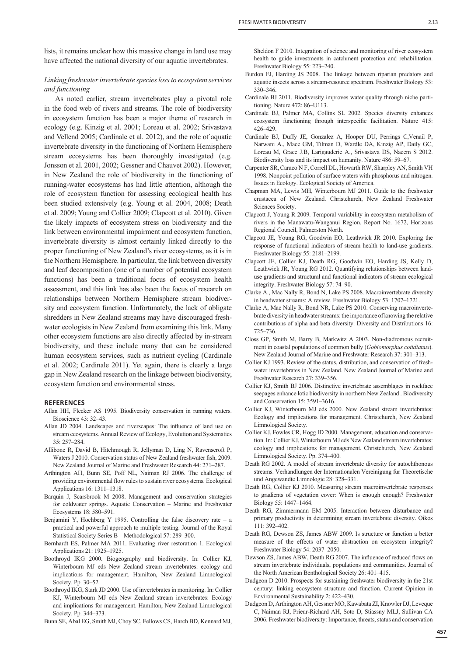lists, it remains unclear how this massive change in land use may have affected the national diversity of our aquatic invertebrates.

# *Linking freshwater invertebrate species loss to ecosystem services and functioning*

As noted earlier, stream invertebrates play a pivotal role in the food web of rivers and streams. The role of biodiversity in ecosystem function has been a major theme of research in ecology (e.g. Kinzig et al. 2001; Loreau et al. 2002; Srivastava and Vellend 2005; Cardinale et al. 2012), and the role of aquatic invertebrate diversity in the functioning of Northern Hemisphere stream ecosystems has been thoroughly investigated (e.g. Jonsson et al. 2001, 2002; Gessner and Chauvet 2002). However, in New Zealand the role of biodiversity in the functioning of running-water ecosystems has had little attention, although the role of ecosystem function for assessing ecological health has been studied extensively (e.g. Young et al. 2004, 2008; Death et al. 2009; Young and Collier 2009; Clapcott et al. 2010). Given the likely impacts of ecosystem stress on biodiversity and the link between environmental impairment and ecosystem function, invertebrate diversity is almost certainly linked directly to the proper functioning of New Zealand's river ecosystems, as it is in the Northern Hemisphere. In particular, the link between diversity and leaf decomposition (one of a number of potential ecosystem functions) has been a traditional focus of ecosystem health assessment, and this link has also been the focus of research on relationships between Northern Hemisphere stream biodiversity and ecosystem function. Unfortunately, the lack of obligate shredders in New Zealand streams may have discouraged freshwater ecologists in New Zealand from examining this link. Many other ecosystem functions are also directly affected by in-stream biodiversity, and these include many that can be considered human ecosystem services, such as nutrient cycling (Cardinale et al. 2002; Cardinale 2011). Yet again, there is clearly a large gap in New Zealand research on the linkage between biodiversity, ecosystem function and environmental stress.

#### **REFERENCES**

- Allan HH, Flecker AS 1995. Biodiversity conservation in running waters. Bioscience 43: 32–43.
- Allan JD 2004. Landscapes and riverscapes: The influence of land use on stream ecosystems. Annual Review of Ecology, Evolution and Systematics 35: 257–284.
- Allibone R, David B, Hitchmough R, Jellyman D, Ling N, Ravenscroft P, Waters J 2010. Conservation status of New Zealand freshwater fish, 2009. New Zealand Journal of Marine and Freshwater Research 44: 271–287.
- Arthington AH, Bunn SE, Poff NL, Naiman RJ 2006. The challenge of providing environmental flow rules to sustain river ecosystems. Ecological Applications 16: 1311–1318.
- Barquin J, Scarsbrook M 2008. Management and conservation strategies for coldwater springs. Aquatic Conservation – Marine and Freshwater Ecosystems 18: 580–591.
- Benjamini Y, Hochberg Y 1995. Controlling the false discovery rate  $-$  a practical and powerful approach to multiple testing. Journal of the Royal Statistical Society Series B – Methodological 57: 289–300.
- Bernhardt ES, Palmer MA 2011. Evaluating river restoration 1. Ecological Applications 21: 1925–1925.
- Boothroyd IKG 2000. Biogeography and biodiversity. In: Collier KJ, Winterbourn MJ eds New Zealand stream invertebrates: ecology and implications for management. Hamilton, New Zealand Limnological Society. Pp. 30–52.
- Boothroyd IKG, Stark JD 2000. Use of invertebrates in monitoring. In: Collier KJ, Winterbourn MJ eds New Zealand stream invertebrates: Ecology and implications for management. Hamilton, New Zealand Limnological Society. Pp. 344–373.

Bunn SE, Abal EG, Smith MJ, Choy SC, Fellows CS, Harch BD, Kennard MJ,

Sheldon F 2010. Integration of science and monitoring of river ecosystem health to guide investments in catchment protection and rehabilitation. Freshwater Biology 55: 223–240.

- Burdon FJ, Harding JS 2008. The linkage between riparian predators and aquatic insects across a stream-resource spectrum. Freshwater Biology 53: 330–346.
- Cardinale BJ 2011. Biodiversity improves water quality through niche partitioning. Nature 472: 86–U113.
- Cardinale BJ, Palmer MA, Collins SL 2002. Species diversity enhances ecosystem functioning through interspecific facilitation. Nature 415: 426–429.
- Cardinale BJ, Duffy JE, Gonzalez A, Hooper DU, Perrings C,Venail P, Narwani A., Mace GM, Tilman D, Wardle DA, Kinzig AP, Daily GC, Loreau M, Grace J.B, Larigauderie A., Srivastava DS, Naeem S 2012. Biodiversity loss and its impact on humanity. Nature 486: 59–67.
- Carpenter SR, Caraco N F, Correll DL, Howarth RW, Sharpley AN, Smith VH 1998. Nonpoint pollution of surface waters with phosphorus and nitrogen. Issues in Ecology. Ecological Society of America.
- Chapman MA, Lewis MH, Winterbourn MJ 2011. Guide to the freshwater crustacea of New Zealand. Christchurch, New Zealand Freshwater Sciences Society.
- Clapcott J, Young R 2009. Temporal variability in ecosystem metabolism of rivers in the Manawatu-Wanganui Region. Report No. 1672, Horizons Regional Council, Palmerston North.
- Clapcott JE, Young RG, Goodwin EO, Leathwick JR 2010. Exploring the response of functional indicators of stream health to land-use gradients. Freshwater Biology 55: 2181–2199.
- Clapcott JE, Collier KJ, Death RG, Goodwin EO, Harding JS, Kelly D, Leathwick JR, Young RG 2012. Quantifying relationships between landuse gradients and structural and functional indicators of stream ecological integrity. Freshwater Biology 57: 74–90.
- Clarke A., Mac Nally R, Bond N, Lake PS 2008. Macroinvertebrate diversity in headwater streams: A review. Freshwater Biology 53: 1707–1721.
- Clarke A, Mac Nally R, Bond NR, Lake PS 2010. Conserving macroinvertebrate diversity in headwater streams: the importance of knowing the relative contributions of alpha and beta diversity. Diversity and Distributions 16: 725–736.
- Closs GP, Smith M, Barry B, Markwitz A 2003. Non-diadromous recruitment in coastal populations of common bully (*Gobiomorphus cotidianus*). New Zealand Journal of Marine and Freshwater Research 37: 301–313.
- Collier KJ 1993. Review of the status, distribution, and conservation of freshwater invertebrates in New Zealand. New Zealand Journal of Marine and Freshwater Research 27: 339–356.
- Collier KJ, Smith BJ 2006. Distinctive invertebrate assemblages in rockface seepages enhance lotic biodiversity in northern New Zealand . Biodiversity and Conservation 15: 3591–3616.
- Collier KJ, Winterbourn MJ eds 2000. New Zealand stream invertebrates: Ecology and implications for management. Christchurch, New Zealand Limnological Society.
- Collier KJ, Fowles CR, Hogg ID 2000. Management, education and conservation. In: Collier KJ, Winterbourn MJ eds New Zealand stream invertebrates: ecology and implications for management. Christchurch, New Zealand Limnological Society. Pp. 374–400.
- Death RG 2002. A model of stream invertebrate diversity for autochthonous streams. Verhandlungen der Internationalen Vereinigung fur Theoretische und Angewandte Limnologie 28: 328–331.
- Death RG, Collier KJ 2010. Measuring stream macroinvertebrate responses to gradients of vegetation cover: When is enough enough? Freshwater Biology 55: 1447–1464.
- Death RG, Zimmermann EM 2005. Interaction between disturbance and primary productivity in determining stream invertebrate diversity. Oikos 111: 392–402.
- Death RG, Dewson ZS, James ABW 2009. Is structure or function a better measure of the effects of water abstraction on ecosystem integrity? Freshwater Biology 54: 2037–2050.
- Dewson ZS, James ABW, Death RG 2007. The influence of reduced flows on stream invertebrate individuals, populations and communities. Journal of the North American Benthological Society 26: 401–415.
- Dudgeon D 2010. Prospects for sustaining freshwater biodiversity in the 21st century: linking ecosystem structure and function. Current Opinion in Environmental Sustainability 2: 422–430.
- Dudgeon D, Arthington AH, Gessner MO, Kawabata ZI, Knowler DJ, Leveque C, Naiman RJ, Prieur-Richard AH, Soto D, Stiassny MLJ, Sullivan CA 2006. Freshwater biodiversity: Importance, threats, status and conservation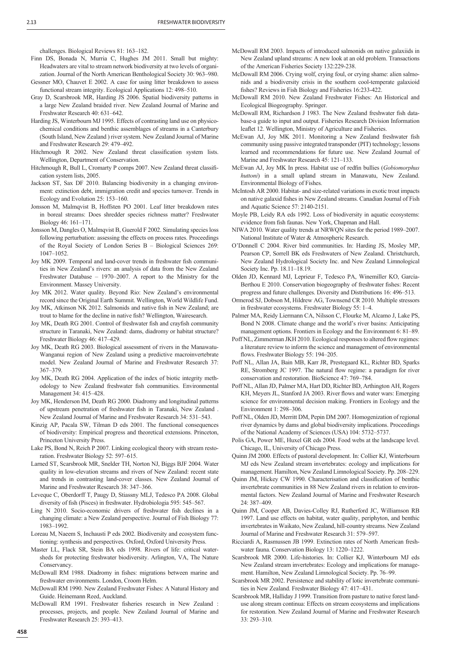challenges. Biological Reviews 81: 163–182.

- Finn DS, Bonada N, Murria C, Hughes JM 2011. Small but mighty: Headwaters are vital to stream network biodiversity at two levels of organization. Journal of the North American Benthological Society 30: 963–980.
- Gessner MO, Chauvet E 2002. A case for using litter breakdown to assess functional stream integrity. Ecological Applications 12: 498–510.
- Gray D, Scarsbrook MR, Harding JS 2006. Spatial biodiversity patterns in a large New Zealand braided river. New Zealand Journal of Marine and Freshwater Research 40: 631–642.
- Harding JS, Winterbourn MJ 1995. Effects of contrasting land use on physicochemical conditions and benthic assemblages of streams in a Canterbury (South Island, New Zealand ) river system. New Zealand Journal of Marine and Freshwater Research 29: 479–492.
- Hitchmough R 2002. New Zealand threat classification system lists. Wellington, Department of Conservation.
- Hitchmough R, Bull L, Cromarty P comps 2007. New Zealand threat classification system lists, 2005.
- Jackson ST, Sax DF 2010. Balancing biodiversity in a changing environment: extinction debt, immigration credit and species turnover. Trends in Ecology and Evolution 25: 153–160.
- Jonsson M, Malmqvist B, Hoffsten PO 2001. Leaf litter breakdown rates in boreal streams: Does shredder species richness matter? Freshwater Biology 46: 161–171.
- Jonsson M, Dangles O, Malmqvist B, Guerold F 2002. Simulating species loss following perturbation: assessing the effects on process rates. Proceedings of the Royal Society of London Series B – Biological Sciences 269: 1047–1052.
- Joy MK 2009. Temporal and land-cover trends in freshwater fish communities in New Zealand's rivers: an analysis of data from the New Zealand Freshwater Database – 1970–2007. A report to the Ministry for the Environment. Massey University.
- Joy MK 2012. Water quality. Beyond Rio: New Zealand's environmental record since the Original Earth Summit. Wellington, World Wildlife Fund.
- Joy MK, Atkinson NK 2012. Salmonids and native fish in New Zealand; are trout to blame for the decline in native fish? Wellington, Wairesearch.
- Joy MK, Death RG 2001. Control of freshwater fish and crayfish community structure in Taranaki, New Zealand: dams, diadromy or habitat structure? Freshwater Biology 46: 417–429.
- Joy MK, Death RG 2003. Biological assessment of rivers in the Manawatu-Wanganui region of New Zealand using a predictive macroinvertebrate model. New Zealand Journal of Marine and Freshwater Research 37: 367–379.
- Joy MK, Death RG 2004. Application of the index of biotic integrity methodology to New Zealand freshwater fish communities. Environmental Management 34: 415–428.
- Joy MK, Henderson IM, Death RG 2000. Diadromy and longitudinal patterns of upstream penetration of freshwater fish in Taranaki, New Zealand New Zealand Journal of Marine and Freshwater Research 34: 531–543.
- Kinzig AP, Pacala SW, Tilman D eds 2001. The functional consequences of biodiversity: Empirical progress and theoretical extensions. Princeton, Princeton University Press.
- Lake PS, Bond N, Reich P 2007. Linking ecological theory with stream restoration. Freshwater Biology 52: 597–615.
- Larned ST, Scarsbrook MR, Snelder TH, Norton NJ, Biggs BJF 2004. Water quality in low-elevation streams and rivers of New Zealand: recent state and trends in contrasting land-cover classes. New Zealand Journal of Marine and Freshwater Research 38: 347–366.
- Leveque C, Oberdorff T, Paugy D, Stiassny MLJ, Tedesco PA 2008. Global diversity of fish (Pisces) in freshwater. Hydrobiologia 595: 545–567.
- Ling N 2010. Socio-economic drivers of freshwater fish declines in a changing climate: a New Zealand perspective. Journal of Fish Biology 77: 1983–1992.
- Loreau M, Naeem S, Inchausti P eds 2002. Biodiversity and ecosystem functioning: synthesis and perspectives. Oxford, Oxford University Press.
- Master LL, Flack SR, Stein BA eds 1998. Rivers of life: critical watersheds for protecting freshwater biodiversity. Arlington, VA, The Nature **Conservancy**
- McDowall RM 1988. Diadromy in fishes: migrations between marine and freshwater environments. London, Croom Helm.
- McDowall RM 1990. New Zealand Freshwater Fishes: A Natural History and Guide. Heinemann Reed, Auckland.
- McDowall RM 1991. Freshwater fisheries research in New Zealand : processes, projects, and people. New Zealand Journal of Marine and Freshwater Research 25: 393–413.
- McDowall RM 2003. Impacts of introduced salmonids on native galaxiids in New Zealand upland streams: A new look at an old problem. Transactions of the American Fisheries Society 132:229-238.
- McDowall RM 2006. Crying wolf, crying foul, or crying shame: alien salmonids and a biodiversity crisis in the southern cool-temperate galaxioid fishes? Reviews in Fish Biology and Fisheries 16:233-422.
- McDowall RM 2010. New Zealand Freshwater Fishes: An Historical and Ecological Biogeography. Springer.
- McDowall RM, Richardson J 1983. The New Zealand freshwater fish database-a guide to input and output. Fisheries Research Division Information leaflet 12. Wellington, Ministry of Agriculture and Fisheries.
- McEwan AJ, Joy MK 2011. Monitoring a New Zealand freshwater fish community using passive integrated transponder (PIT) technology; lessons learned and recommendations for future use. New Zealand Journal of Marine and Freshwater Research 45: 121–133.
- McEwan AJ, Joy MK In press. Habitat use of redfin bullies (*Gobiomorphus huttoni*) in a small upland stream in Manawatu, New Zealand. Environmental Biology of Fishes.
- McIntosh AR 2000. Habitat- and size-related variations in exotic trout impacts on native galaxid fishes in New Zealand streams. Canadian Journal of Fish and Aquatic Science 57: 2140-2151.
- Moyle PB, Leidy RA eds 1992. Loss of biodiversity in aquatic ecosystems: evidence from fish faunas. New York, Chapman and Hall.
- NIWA 2010. Water quality trends at NRWQN sites for the period 1989–2007. National Institute of Water & Atmospheric Research.
- O'Donnell C 2004. River bird communities. In: Harding JS, Mosley MP, Pearson CP, Sorrell BK eds Freshwaters of New Zealand. Christchurch, New Zealand Hydrological Society Inc. and New Zealand Limnological Society Inc. Pp. 18.11–18.19.
- Olden JD, Kennard MJ, Leprieur F, Tedesco PA, Winemiller KO, García-Berthou E 2010. Conservation biogeography of freshwater fishes: Recent progress and future challenges. Diversity and Distributions 16: 496–513.
- Ormerod SJ, Dobson M, Hildrew AG, Townsend CR 2010. Multiple stressors in freshwater ecosystems. Freshwater Biology 55: 1–4.
- Palmer MA, Reidy Liermann CA, Nilsson C, Flourke M, Alcamo J, Lake PS, Bond N 2008. Climate change and the world's river basins: Anticipating management options. Frontiers in Ecology and the Environment 6: 81–89.
- Poff NL, Zimmerman JKH 2010. Ecological responses to altered flow regimes: a literature review to inform the science and management of environmental flows. Freshwater Biology 55: 194–205.
- Poff NL, Allan JA, Bain MB, Karr JR, Prestegaard KL, Richter BD, Sparks RE, Stromberg JC 1997. The natural flow regime: a paradigm for river conservation and restoration. BioScience 47: 769–784.
- Poff NL, Allan JD, Palmer MA, Hart DD, Richter BD, Arthington AH, Rogers KH, Meyers JL, Stanford JA 2003. River flows and water wars: Emerging science for environmental decision making. Frontiers in Ecology and the Environment 1: 298–306.
- Poff NL, Olden JD, Merritt DM, Pepin DM 2007. Homogenization of regional river dynamics by dams and global biodiversity implications. Proceedings of the National Academy of Sciences (USA) 104: 5732–5737.
- Polis GA, Power ME, Huxel GR eds 2004. Food webs at the landscape level. Chicago, IL, University of Chicago Press.
- Quinn JM 2000. Effects of pastoral development. In: Collier KJ, Winterbourn MJ eds New Zealand stream invertebrates: ecology and implications for management. Hamilton, New Zealand Limnological Society. Pp. 208–229.
- Quinn JM, Hickey CW 1990. Characterisation and classification of benthic invertebrate communities in 88 New Zealand rivers in relation to environmental factors. New Zealand Journal of Marine and Freshwater Research 24: 387–409.
- Quinn JM, Cooper AB, Davies-Colley RJ, Rutherford JC, Williamson RB 1997. Land use effects on habitat, water quality, periphyton, and benthic invertebrates in Waikato, New Zealand, hill-country streams. New Zealand Journal of Marine and Freshwater Research 31: 579–597.
- Ricciardi A, Rasmussen JB 1999. Extinction rates of North American freshwater fauna. Conservation Biology 13: 1220–1222.
- Scarsbrook MR 2000. Life-histories. In: Collier KJ, Winterbourn MJ eds New Zealand stream invertebrates: Ecology and implications for management. Hamilton, New Zealand Limnological Society. Pp. 76–99.
- Scarsbrook MR 2002. Persistence and stability of lotic invertebrate communities in New Zealand. Freshwater Biology 47: 417–431.
- Scarsbrook MR, Halliday J 1999. Transition from pasture to native forest landuse along stream continua: Effects on stream ecosystems and implications for restoration. New Zealand Journal of Marine and Freshwater Research 33: 293–310.